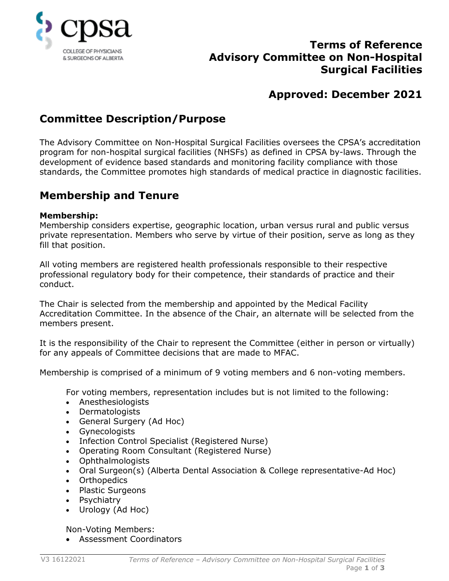

## **Terms of Reference Advisory Committee on Non-Hospital Surgical Facilities**

# **Approved: December 2021**

# **Committee Description/Purpose**

The Advisory Committee on Non-Hospital Surgical Facilities oversees the CPSA's accreditation program for non-hospital surgical facilities (NHSFs) as defined in CPSA by-laws. Through the development of evidence based standards and monitoring facility compliance with those standards, the Committee promotes high standards of medical practice in diagnostic facilities.

## **Membership and Tenure**

### **Membership:**

Membership considers expertise, geographic location, urban versus rural and public versus private representation. Members who serve by virtue of their position, serve as long as they fill that position.

All voting members are registered health professionals responsible to their respective professional regulatory body for their competence, their standards of practice and their conduct.

The Chair is selected from the membership and appointed by the Medical Facility Accreditation Committee. In the absence of the Chair, an alternate will be selected from the members present.

It is the responsibility of the Chair to represent the Committee (either in person or virtually) for any appeals of Committee decisions that are made to MFAC.

Membership is comprised of a minimum of 9 voting members and 6 non-voting members.

For voting members, representation includes but is not limited to the following:

- Anesthesiologists
- Dermatologists
- General Surgery (Ad Hoc)
- Gynecologists
- Infection Control Specialist (Registered Nurse)
- Operating Room Consultant (Registered Nurse)
- Ophthalmologists
- Oral Surgeon(s) (Alberta Dental Association & College representative-Ad Hoc)
- Orthopedics
- Plastic Surgeons
- Psychiatry
- Urology (Ad Hoc)

Non-Voting Members:

• Assessment Coordinators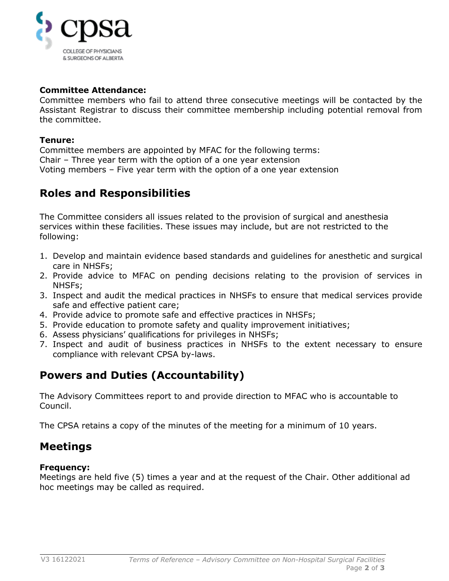

### **Committee Attendance:**

Committee members who fail to attend three consecutive meetings will be contacted by the Assistant Registrar to discuss their committee membership including potential removal from the committee.

#### **Tenure:**

Committee members are appointed by MFAC for the following terms: Chair – Three year term with the option of a one year extension Voting members – Five year term with the option of a one year extension

### **Roles and Responsibilities**

The Committee considers all issues related to the provision of surgical and anesthesia services within these facilities. These issues may include, but are not restricted to the following:

- 1. Develop and maintain evidence based standards and guidelines for anesthetic and surgical care in NHSFs;
- 2. Provide advice to MFAC on pending decisions relating to the provision of services in NHSFs;
- 3. Inspect and audit the medical practices in NHSFs to ensure that medical services provide safe and effective patient care;
- 4. Provide advice to promote safe and effective practices in NHSFs;
- 5. Provide education to promote safety and quality improvement initiatives;
- 6. Assess physicians' qualifications for privileges in NHSFs;
- 7. Inspect and audit of business practices in NHSFs to the extent necessary to ensure compliance with relevant CPSA by-laws.

# **Powers and Duties (Accountability)**

The Advisory Committees report to and provide direction to MFAC who is accountable to Council.

The CPSA retains a copy of the minutes of the meeting for a minimum of 10 years.

## **Meetings**

### **Frequency:**

Meetings are held five (5) times a year and at the request of the Chair. Other additional ad hoc meetings may be called as required.